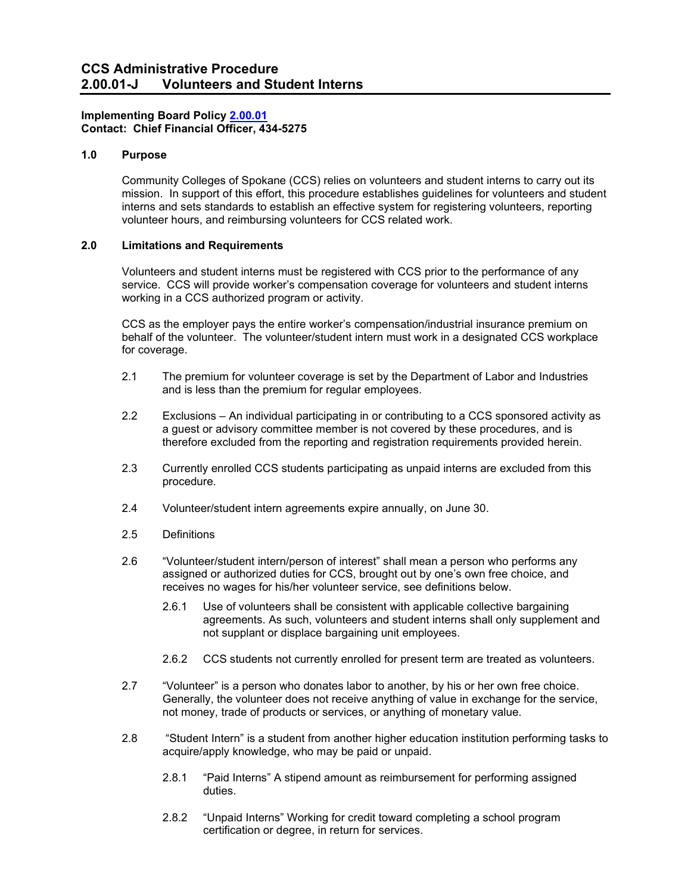# **Implementing Board Policy [2.00.01](http://ccs.spokane.edu/About-Us/Leadership/Board-of-Trustees/Policies-Procedures/Chapter2#AccWE2-1) Contact: Chief Financial Officer, 434-5275**

## **1.0 Purpose**

Community Colleges of Spokane (CCS) relies on volunteers and student interns to carry out its mission. In support of this effort, this procedure establishes guidelines for volunteers and student interns and sets standards to establish an effective system for registering volunteers, reporting volunteer hours, and reimbursing volunteers for CCS related work.

## **2.0 Limitations and Requirements**

Volunteers and student interns must be registered with CCS prior to the performance of any service. CCS will provide worker's compensation coverage for volunteers and student interns working in a CCS authorized program or activity.

CCS as the employer pays the entire worker's compensation/industrial insurance premium on behalf of the volunteer. The volunteer/student intern must work in a designated CCS workplace for coverage.

- 2.1 The premium for volunteer coverage is set by the Department of Labor and Industries and is less than the premium for regular employees.
- 2.2 Exclusions An individual participating in or contributing to a CCS sponsored activity as a guest or advisory committee member is not covered by these procedures, and is therefore excluded from the reporting and registration requirements provided herein.
- 2.3 Currently enrolled CCS students participating as unpaid interns are excluded from this procedure.
- 2.4 Volunteer/student intern agreements expire annually, on June 30.
- 2.5 Definitions
- 2.6 "Volunteer/student intern/person of interest" shall mean a person who performs any assigned or authorized duties for CCS, brought out by one's own free choice, and receives no wages for his/her volunteer service, see definitions below.
	- 2.6.1 Use of volunteers shall be consistent with applicable collective bargaining agreements. As such, volunteers and student interns shall only supplement and not supplant or displace bargaining unit employees.
	- 2.6.2 CCS students not currently enrolled for present term are treated as volunteers.
- 2.7 "Volunteer" is a person who donates labor to another, by his or her own free choice. Generally, the volunteer does not receive anything of value in exchange for the service, not money, trade of products or services, or anything of monetary value.
- 2.8 "Student Intern" is a student from another higher education institution performing tasks to acquire/apply knowledge, who may be paid or unpaid.
	- 2.8.1 "Paid Interns" A stipend amount as reimbursement for performing assigned duties.
	- 2.8.2 "Unpaid Interns" Working for credit toward completing a school program certification or degree, in return for services.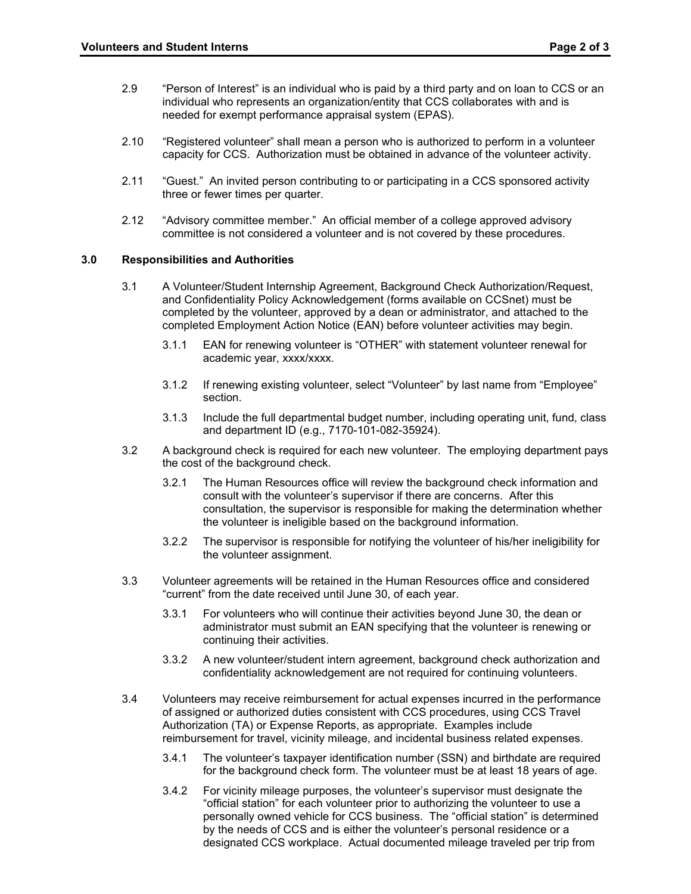- 2.9 "Person of Interest" is an individual who is paid by a third party and on loan to CCS or an individual who represents an organization/entity that CCS collaborates with and is needed for exempt performance appraisal system (EPAS).
- 2.10 "Registered volunteer" shall mean a person who is authorized to perform in a volunteer capacity for CCS. Authorization must be obtained in advance of the volunteer activity.
- 2.11 "Guest." An invited person contributing to or participating in a CCS sponsored activity three or fewer times per quarter.
- 2.12 "Advisory committee member." An official member of a college approved advisory committee is not considered a volunteer and is not covered by these procedures.

### **3.0 Responsibilities and Authorities**

- 3.1 A Volunteer/Student Internship Agreement, Background Check Authorization/Request, and Confidentiality Policy Acknowledgement (forms available on CCSnet) must be completed by the volunteer, approved by a dean or administrator, and attached to the completed Employment Action Notice (EAN) before volunteer activities may begin.
	- 3.1.1 EAN for renewing volunteer is "OTHER" with statement volunteer renewal for academic year, xxxx/xxxx.
	- 3.1.2 If renewing existing volunteer, select "Volunteer" by last name from "Employee" section.
	- 3.1.3 Include the full departmental budget number, including operating unit, fund, class and department ID (e.g., 7170-101-082-35924).
- 3.2 A background check is required for each new volunteer. The employing department pays the cost of the background check.
	- 3.2.1 The Human Resources office will review the background check information and consult with the volunteer's supervisor if there are concerns. After this consultation, the supervisor is responsible for making the determination whether the volunteer is ineligible based on the background information.
	- 3.2.2 The supervisor is responsible for notifying the volunteer of his/her ineligibility for the volunteer assignment.
- 3.3 Volunteer agreements will be retained in the Human Resources office and considered "current" from the date received until June 30, of each year.
	- 3.3.1 For volunteers who will continue their activities beyond June 30, the dean or administrator must submit an EAN specifying that the volunteer is renewing or continuing their activities.
	- 3.3.2 A new volunteer/student intern agreement, background check authorization and confidentiality acknowledgement are not required for continuing volunteers.
- 3.4 Volunteers may receive reimbursement for actual expenses incurred in the performance of assigned or authorized duties consistent with CCS procedures, using CCS Travel Authorization (TA) or Expense Reports, as appropriate. Examples include reimbursement for travel, vicinity mileage, and incidental business related expenses.
	- 3.4.1 The volunteer's taxpayer identification number (SSN) and birthdate are required for the background check form. The volunteer must be at least 18 years of age.
	- 3.4.2 For vicinity mileage purposes, the volunteer's supervisor must designate the "official station" for each volunteer prior to authorizing the volunteer to use a personally owned vehicle for CCS business. The "official station" is determined by the needs of CCS and is either the volunteer's personal residence or a designated CCS workplace. Actual documented mileage traveled per trip from